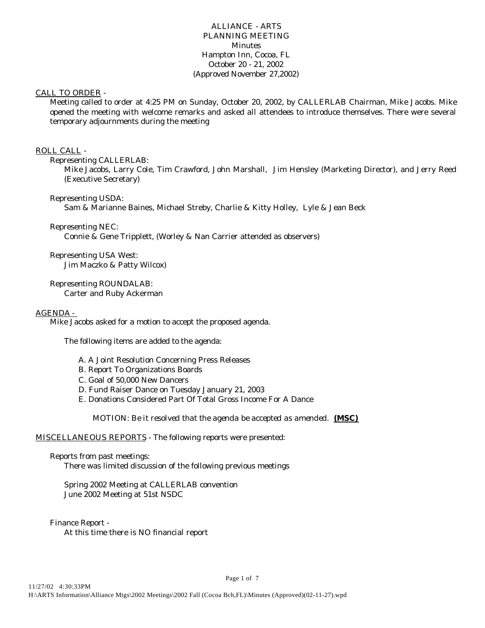## ALLIANCE - ARTS PLANNING MEETING **Minutes** Hampton Inn, Cocoa, FL October 20 - 21, 2002 (Approved November 27,2002)

## CALL TO ORDER -

Meeting called to order at 4:25 PM on Sunday, October 20, 2002, by CALLERLAB Chairman, Mike Jacobs. Mike opened the meeting with welcome remarks and asked all attendees to introduce themselves. There were several temporary adjournments during the meeting

## ROLL CALL -

## Representing CALLERLAB:

Mike Jacobs, Larry Cole, Tim Crawford, John Marshall, Jim Hensley (Marketing Director), and Jerry Reed (Executive Secretary)

## Representing USDA:

Sam & Marianne Baines, Michael Streby, Charlie & Kitty Holley, Lyle & Jean Beck

## Representing NEC:

Connie & Gene Tripplett, (Worley & Nan Carrier attended as observers)

Representing USA West: Jim Maczko & Patty Wilcox)

Representing ROUNDALAB: Carter and Ruby Ackerman

## AGENDA -

Mike Jacobs asked for a motion to accept the proposed agenda.

The following items are added to the agenda:

- A. A Joint Resolution Concerning Press Releases
- B. Report To Organizations Boards
- C. Goal of 50,000 New Dancers
- D. Fund Raiser Dance on Tuesday January 21, 2003
- E. Donations Considered Part Of Total Gross Income For A Dance

*MOTION: Be it resolved that the agenda be accepted as amended.* **(MSC)** 

Page 1 of 7

## MISCELLANEOUS REPORTS - The following reports were presented:

#### Reports from past meetings:

There was limited discussion of the following previous meetings

## Spring 2002 Meeting at CALLERLAB convention June 2002 Meeting at 51st NSDC

Finance Report - At this time there is NO financial report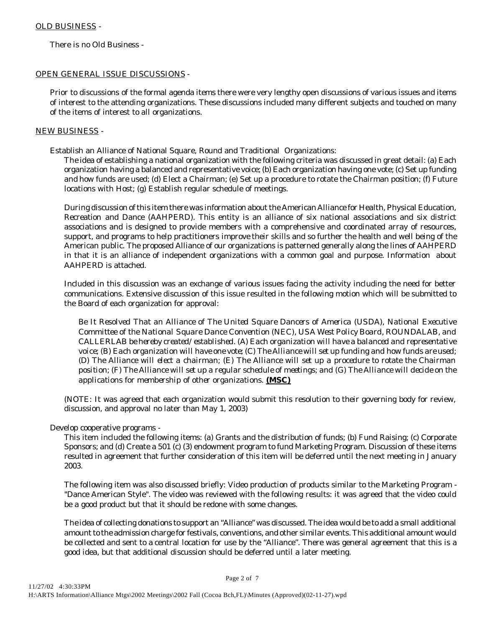There is no Old Business -

# OPEN GENERAL ISSUE DISCUSSIONS -

Prior to discussions of the formal agenda items there were very lengthy open discussions of various issues and items of interest to the attending organizations. These discussions included many different subjects and touched on many of the items of interest to all organizations.

# NEW BUSINESS -

Establish an Alliance of National Square, Round and Traditional Organizations:

The idea of establishing a national organization with the following criteria was discussed in great detail: (a) Each organization having a balanced and representative voice; (b) Each organization having one vote; (c) Set up funding and how funds are used; (d) Elect a Chairman; (e) Set up a procedure to rotate the Chairman position; (f) Future locations with Host; (g) Establish regular schedule of meetings.

During discussion of this item there was information about the American Alliance for Health, Physical Education, Recreation and Dance (AAHPERD). This entity is an alliance of six national associations and six district associations and is designed to provide members with a comprehensive and coordinated array of resources, support, and programs to help practitioners improve their skills and so further the health and well being of the American public. The proposed Alliance of our organizations is patterned generally along the lines of AAHPERD in that it is an alliance of independent organizations with a common goal and purpose. Information about AAHPERD is attached.

Included in this discussion was an exchange of various issues facing the activity including the need for better communications. Extensive discussion of this issue resulted in the following motion which will be submitted to the Board of each organization for approval:

*Be It Resolved That an Alliance of The United Square Dancers of America (USDA), National Executive Committee of the National Square Dance Convention (NEC), USA West Policy Board, ROUNDALAB, and CALLERLAB be hereby created/established. (A) Each organization will have a balanced and representative voice; (B) Each organization will have one vote; (C) The Alliance will set up funding and how funds are used; (D) The Alliance will elect a chairman; (E) The Alliance will set up a procedure to rotate the Chairman position; (F) The Alliance will set up a regular schedule of meetings; and (G) The Alliance will decide on the applications for membership of other organizations. (MSC)*

(NOTE: It was agreed that each organization would submit this resolution to their governing body for review, discussion, and approval no later than May 1, 2003)

Develop cooperative programs -

This item included the following items: (a) Grants and the distribution of funds; (b) Fund Raising; (c) Corporate Sponsors; and (d) Create a 501 (c) (3) endowment program to fund Marketing Program. Discussion of these items resulted in agreement that further consideration of this item will be deferred until the next meeting in January 2003.

The following item was also discussed briefly: Video production of products similar to the Marketing Program - "Dance American Style". The video was reviewed with the following results: it was agreed that the video could be a good product but that it should be redone with some changes.

The idea of collecting donations to support an "Alliance" was discussed. The idea would be to add a small additional amount to the admission charge for festivals, conventions, and other similar events. This additional amount would be collected and sent to a central location for use by the "Alliance". There was general agreement that this is a good idea, but that additional discussion should be deferred until a later meeting.

Page 2 of 7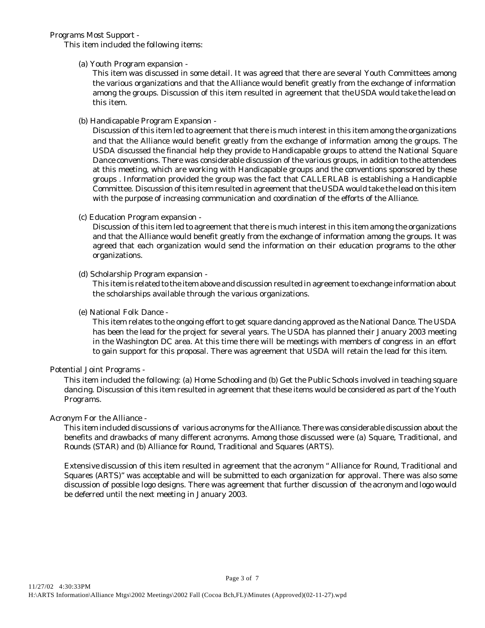Programs Most Support -

This item included the following items:

(a) Youth Program expansion -

This item was discussed in some detail. It was agreed that there are several Youth Committees among the various organizations and that the Alliance would benefit greatly from the exchange of information among the groups. Discussion of this item resulted in agreement that the USDA would take the lead on this item.

(b) Handicapable Program Expansion -

Discussion of this item led to agreement that there is much interest in this item among the organizations and that the Alliance would benefit greatly from the exchange of information among the groups. The USDA discussed the financial help they provide to Handicapable groups to attend the National Square Dance conventions. There was considerable discussion of the various groups, in addition to the attendees at this meeting, which are working with Handicapable groups and the conventions sponsored by these groups . Information provided the group was the fact that CALLERLAB is establishing a Handicapble Committee. Discussion of this item resulted in agreement that the USDA would take the lead on this item with the purpose of increasing communication and coordination of the efforts of the Alliance.

(c) Education Program expansion -

Discussion of this item led to agreement that there is much interest in this item among the organizations and that the Alliance would benefit greatly from the exchange of information among the groups. It was agreed that each organization would send the information on their education programs to the other organizations.

# (d) Scholarship Program expansion -

This item is related to the item above and discussion resulted in agreement to exchange information about the scholarships available through the various organizations.

(e) National Folk Dance -

This item relates to the ongoing effort to get square dancing approved as the National Dance. The USDA has been the lead for the project for several years. The USDA has planned their January 2003 meeting in the Washington DC area. At this time there will be meetings with members of congress in an effort to gain support for this proposal. There was agreement that USDA will retain the lead for this item.

# Potential Joint Programs -

This item included the following: (a) Home Schooling and (b) Get the Public Schools involved in teaching square dancing. Discussion of this item resulted in agreement that these items would be considered as part of the Youth Programs.

## Acronym For the Alliance -

This item included discussions of various acronyms for the Alliance. There was considerable discussion about the benefits and drawbacks of many different acronyms. Among those discussed were (a) Square, Traditional, and Rounds (STAR) and (b) Alliance for Round, Traditional and Squares (ARTS).

Extensive discussion of this item resulted in agreement that the acronym " Alliance for Round, Traditional and Squares (ARTS)" was acceptable and will be submitted to each organization for approval. There was also some discussion of possible logo designs. There was agreement that further discussion of the acronym and logo would be deferred until the next meeting in January 2003.

Page 3 of 7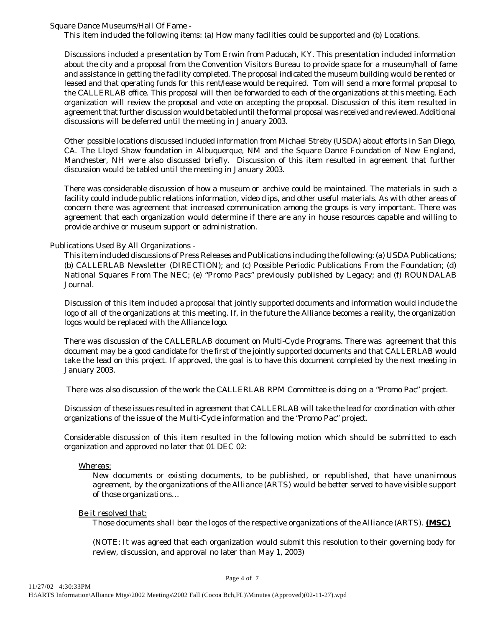Square Dance Museums/Hall Of Fame -

This item included the following items: (a) How many facilities could be supported and (b) Locations.

Discussions included a presentation by Tom Erwin from Paducah, KY. This presentation included information about the city and a proposal from the Convention Visitors Bureau to provide space for a museum/hall of fame and assistance in getting the facility completed. The proposal indicated the museum building would be rented or leased and that operating funds for this rent/lease would be required. Tom will send a more formal proposal to the CALLERLAB office. This proposal will then be forwarded to each of the organizations at this meeting. Each organization will review the proposal and vote on accepting the proposal. Discussion of this item resulted in agreement that further discussion would be tabled until the formal proposal was received and reviewed. Additional discussions will be deferred until the meeting in January 2003.

Other possible locations discussed included information from Michael Streby (USDA) about efforts in San Diego, CA. The Lloyd Shaw foundation in Albuquerque, NM and the Square Dance Foundation of New England, Manchester, NH were also discussed briefly. Discussion of this item resulted in agreement that further discussion would be tabled until the meeting in January 2003.

There was considerable discussion of how a museum or archive could be maintained. The materials in such a facility could include public relations information, video clips, and other useful materials. As with other areas of concern there was agreement that increased communication among the groups is very important. There was agreement that each organization would determine if there are any in house resources capable and willing to provide archive or museum support or administration.

## Publications Used By All Organizations -

This item included discussions of Press Releases and Publications including the following: (a) USDA Publications; (b) CALLERLAB Newsletter (DIRECTION); and (c) Possible Periodic Publications From the Foundation; (d) National Squares From The NEC; (e) "Promo Pacs" previously published by Legacy; and (f) ROUNDALAB Journal.

Discussion of this item included a proposal that jointly supported documents and information would include the logo of all of the organizations at this meeting. If, in the future the Alliance becomes a reality, the organization logos would be replaced with the Alliance logo.

There was discussion of the CALLERLAB document on Multi-Cycle Programs. There was agreement that this document may be a good candidate for the first of the jointly supported documents and that CALLERLAB would take the lead on this project. If approved, the goal is to have this document completed by the next meeting in January 2003.

There was also discussion of the work the CALLERLAB RPM Committee is doing on a "Promo Pac" project.

Discussion of these issues resulted in agreement that CALLERLAB will take the lead for coordination with other organizations of the issue of the Multi-Cycle information and the "Promo Pac" project.

Considerable discussion of this item resulted in the following motion which should be submitted to each organization and approved no later that 01 DEC 02:

#### *Whereas:*

*New documents or existing documents, to be published, or republished, that have unanimous agreement, by the organizations of the Alliance (ARTS) would be better served to have visible support of those organizations…*

#### *Be it resolved that:*

*Those documents shall bear the logos of the respective organizations of the Alliance (ARTS). (MSC)*

(NOTE: It was agreed that each organization would submit this resolution to their governing body for review, discussion, and approval no later than May 1, 2003)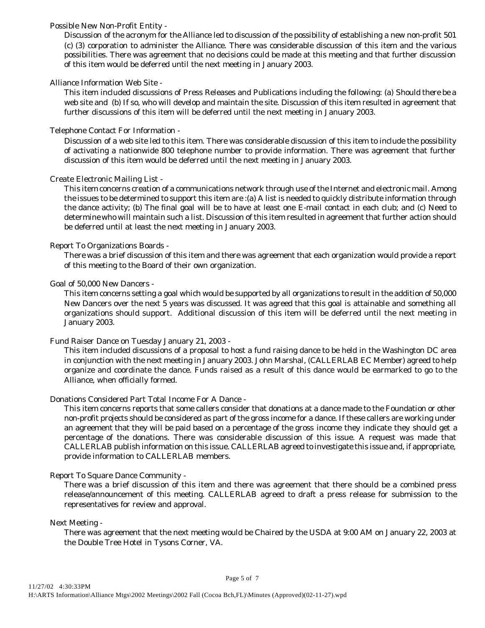## Possible New Non-Profit Entity -

Discussion of the acronym for the Alliance led to discussion of the possibility of establishing a new non-profit 501 (c) (3) corporation to administer the Alliance. There was considerable discussion of this item and the various possibilities. There was agreement that no decisions could be made at this meeting and that further discussion of this item would be deferred until the next meeting in January 2003.

## Alliance Information Web Site -

This item included discussions of Press Releases and Publications including the following: (a) Should there be a web site and (b) If so, who will develop and maintain the site. Discussion of this item resulted in agreement that further discussions of this item will be deferred until the next meeting in January 2003.

## Telephone Contact For Information -

Discussion of a web site led to this item. There was considerable discussion of this item to include the possibility of activating a nationwide 800 telephone number to provide information. There was agreement that further discussion of this item would be deferred until the next meeting in January 2003.

## Create Electronic Mailing List -

This item concerns creation of a communications network through use of the Internet and electronic mail. Among the issues to be determined to support this item are :(a) A list is needed to quickly distribute information through the dance activity; (b) The final goal will be to have at least one E-mail contact in each club; and (c) Need to determine who will maintain such a list. Discussion of this item resulted in agreement that further action should be deferred until at least the next meeting in January 2003.

## Report To Organizations Boards -

There was a brief discussion of this item and there was agreement that each organization would provide a report of this meeting to the Board of their own organization.

#### Goal of 50,000 New Dancers -

This item concerns setting a goal which would be supported by all organizations to result in the addition of 50,000 New Dancers over the next 5 years was discussed. It was agreed that this goal is attainable and something all organizations should support. Additional discussion of this item will be deferred until the next meeting in January 2003.

#### Fund Raiser Dance on Tuesday January 21, 2003 -

This item included discussions of a proposal to host a fund raising dance to be held in the Washington DC area in conjunction with the next meeting in January 2003. John Marshal, (CALLERLAB EC Member) agreed to help organize and coordinate the dance. Funds raised as a result of this dance would be earmarked to go to the Alliance, when officially formed.

## Donations Considered Part Total Income For A Dance -

This item concerns reports that some callers consider that donations at a dance made to the Foundation or other non-profit projects should be considered as part of the gross income for a dance. If these callers are working under an agreement that they will be paid based on a percentage of the gross income they indicate they should get a percentage of the donations. There was considerable discussion of this issue. A request was made that CALLERLAB publish information on this issue. CALLERLAB agreed to investigate this issue and, if appropriate, provide information to CALLERLAB members.

## Report To Square Dance Community -

There was a brief discussion of this item and there was agreement that there should be a combined press release/announcement of this meeting. CALLERLAB agreed to draft a press release for submission to the representatives for review and approval.

Next Meeting -

There was agreement that the next meeting would be Chaired by the USDA at 9:00 AM on January 22, 2003 at the Double Tree Hotel in Tysons Corner, VA.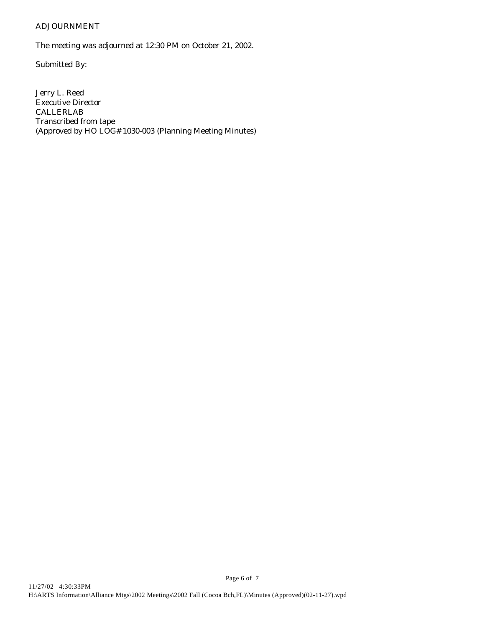# ADJOURNMENT

The meeting was adjourned at 12:30 PM on October 21, 2002.

Submitted By:

Jerry L. Reed Executive Director CALLERLAB Transcribed from tape (Approved by HO LOG# 1030-003 (Planning Meeting Minutes)